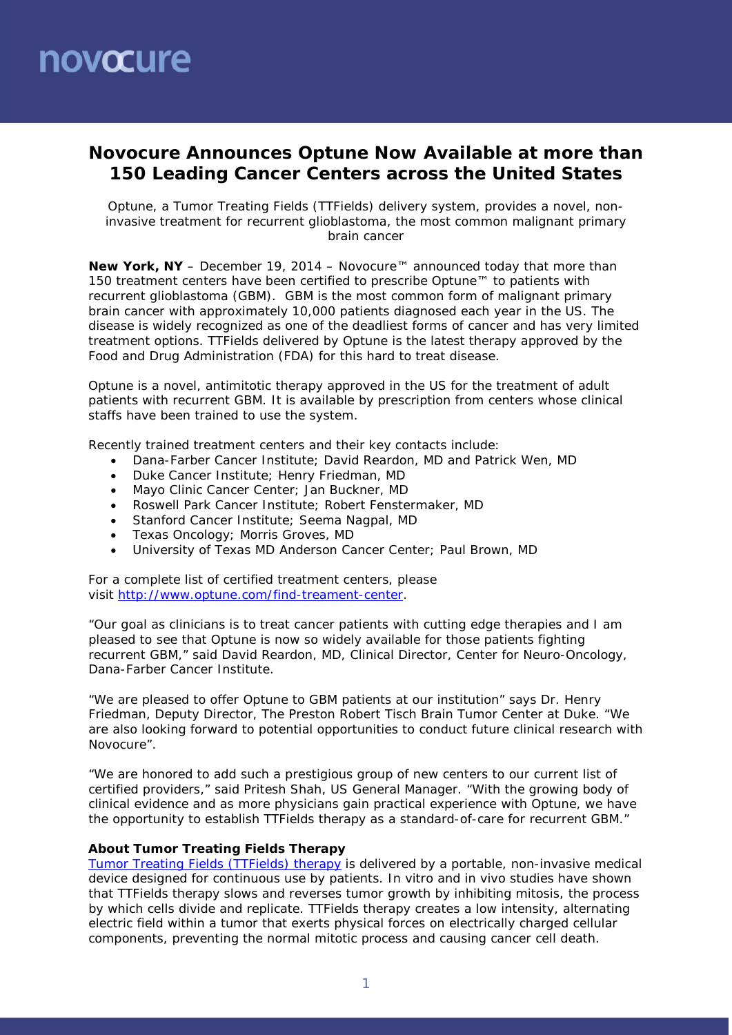# novocure

## **Novocure Announces Optune Now Available at more than 150 Leading Cancer Centers across the United States**

*Optune, a Tumor Treating Fields (TTFields) delivery system, provides a novel, noninvasive treatment for recurrent glioblastoma, the most common malignant primary brain cancer*

**New York, NY** – December 19, 2014 – Novocure™ announced today that more than 150 treatment centers have been certified to prescribe Optune™ to patients with recurrent glioblastoma (GBM). GBM is the most common form of malignant primary brain cancer with approximately 10,000 patients diagnosed each year in the US. The disease is widely recognized as one of the deadliest forms of cancer and has very limited treatment options. TTFields delivered by Optune is the latest therapy approved by the Food and Drug Administration (FDA) for this hard to treat disease.

Optune is a novel, antimitotic therapy approved in the US for the treatment of adult patients with recurrent GBM. It is available by prescription from centers whose clinical staffs have been trained to use the system.

Recently trained treatment centers and their key contacts include:

- Dana-Farber Cancer Institute; David Reardon, MD and Patrick Wen, MD
- Duke Cancer Institute; Henry Friedman, MD
- Mayo Clinic Cancer Center; Jan Buckner, MD
- Roswell Park Cancer Institute; Robert Fenstermaker, MD
- Stanford Cancer Institute; Seema Nagpal, MD
- Texas Oncology; Morris Groves, MD
- University of Texas MD Anderson Cancer Center; Paul Brown, MD

For a complete list of certified treatment centers, please visit [http://www.optune.com/find-treament-center.](http://www.optune.com/find-treament-center.aspx)

"Our goal as clinicians is to treat cancer patients with cutting edge therapies and I am pleased to see that Optune is now so widely available for those patients fighting recurrent GBM," said David Reardon, MD, Clinical Director, Center for Neuro-Oncology, Dana-Farber Cancer Institute.

"We are pleased to offer Optune to GBM patients at our institution" says Dr. Henry Friedman, Deputy Director, The Preston Robert Tisch Brain Tumor Center at Duke. "We are also looking forward to potential opportunities to conduct future clinical research with Novocure".

"We are honored to add such a prestigious group of new centers to our current list of certified providers," said Pritesh Shah, US General Manager. "With the growing body of clinical evidence and as more physicians gain practical experience with Optune, we have the opportunity to establish TTFields therapy as a standard-of-care for recurrent GBM."

#### **About Tumor Treating Fields Therapy**

[Tumor Treating Fields \(TTFields\) therapy](http://www.novocure.com/our-therapy.aspx) is delivered by a portable, non-invasive medical device designed for continuous use by patients. *In vitro* and *in vivo* studies have shown that TTFields therapy slows and reverses tumor growth by inhibiting mitosis, the process by which cells divide and replicate. TTFields therapy creates a low intensity, alternating electric field within a tumor that exerts physical forces on electrically charged cellular components, preventing the normal mitotic process and causing cancer cell death.